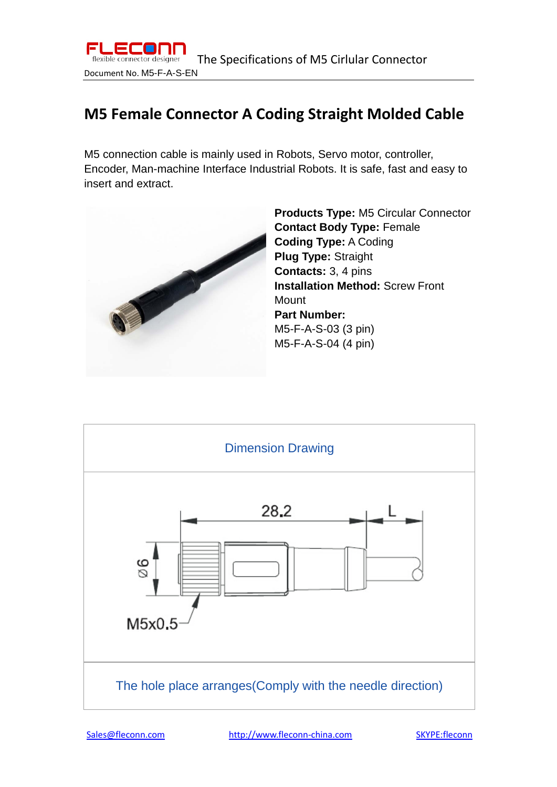

## **M5 Female Connector A Coding Straight Molded Cable**

M5 connection cable is mainly used in Robots, Servo motor, controller, Encoder, Man-machine Interface Industrial Robots. It is safe, fast and easy to insert and extract.



**Products Type:** M5 Circular Connector **Contact Body Type:** Female **Coding Type:** A Coding **Plug Type:** Straight **Contacts:** 3, 4 pins **Installation Method: Screw Front** Mount **Part Number:**  M5-F-A-S-03 (3 pin) M5-F-A-S-04 (4 pin)

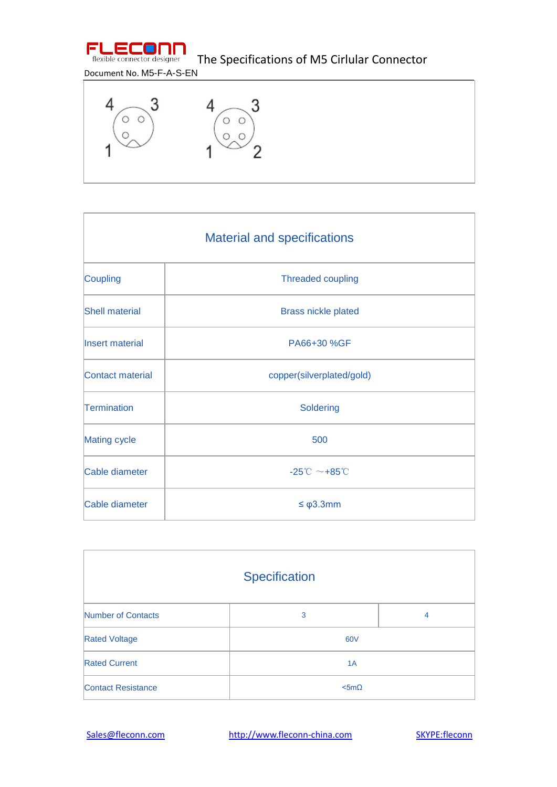

## Document No. M5-F-A-S-EN



| <b>Material and specifications</b> |                                                |  |
|------------------------------------|------------------------------------------------|--|
| Coupling                           | <b>Threaded coupling</b>                       |  |
| <b>Shell material</b>              | <b>Brass nickle plated</b>                     |  |
| Insert material                    | PA66+30 %GF                                    |  |
| Contact material                   | copper(silverplated/gold)                      |  |
| Termination                        | Soldering                                      |  |
| Mating cycle                       | 500                                            |  |
| Cable diameter                     | $-25^{\circ}\text{C} \sim +85^{\circ}\text{C}$ |  |
| Cable diameter                     | $\leq \varphi$ 3.3mm                           |  |

| Specification             |                 |   |  |
|---------------------------|-----------------|---|--|
| Number of Contacts        | 3               | 4 |  |
| <b>Rated Voltage</b>      | 60V             |   |  |
| <b>Rated Current</b>      | 1A              |   |  |
| <b>Contact Resistance</b> | $<$ 5m $\Omega$ |   |  |